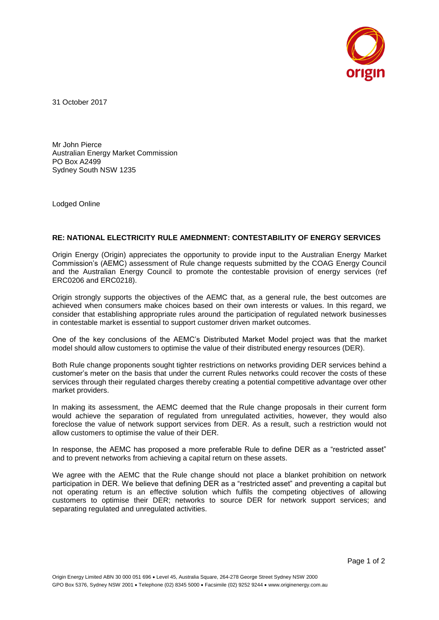

31 October 2017

Mr John Pierce Australian Energy Market Commission PO Box A2499 Sydney South NSW 1235

Lodged Online

## **RE: NATIONAL ELECTRICITY RULE AMEDNMENT: CONTESTABILITY OF ENERGY SERVICES**

Origin Energy (Origin) appreciates the opportunity to provide input to the Australian Energy Market Commission's (AEMC) assessment of Rule change requests submitted by the COAG Energy Council and the Australian Energy Council to promote the contestable provision of energy services (ref ERC0206 and ERC0218).

Origin strongly supports the objectives of the AEMC that, as a general rule, the best outcomes are achieved when consumers make choices based on their own interests or values. In this regard, we consider that establishing appropriate rules around the participation of regulated network businesses in contestable market is essential to support customer driven market outcomes.

One of the key conclusions of the AEMC's Distributed Market Model project was that the market model should allow customers to optimise the value of their distributed energy resources (DER).

Both Rule change proponents sought tighter restrictions on networks providing DER services behind a customer's meter on the basis that under the current Rules networks could recover the costs of these services through their regulated charges thereby creating a potential competitive advantage over other market providers.

In making its assessment, the AEMC deemed that the Rule change proposals in their current form would achieve the separation of regulated from unregulated activities, however, they would also foreclose the value of network support services from DER. As a result, such a restriction would not allow customers to optimise the value of their DER.

In response, the AEMC has proposed a more preferable Rule to define DER as a "restricted asset" and to prevent networks from achieving a capital return on these assets.

We agree with the AEMC that the Rule change should not place a blanket prohibition on network participation in DER. We believe that defining DER as a "restricted asset" and preventing a capital but not operating return is an effective solution which fulfils the competing objectives of allowing customers to optimise their DER; networks to source DER for network support services; and separating regulated and unregulated activities.